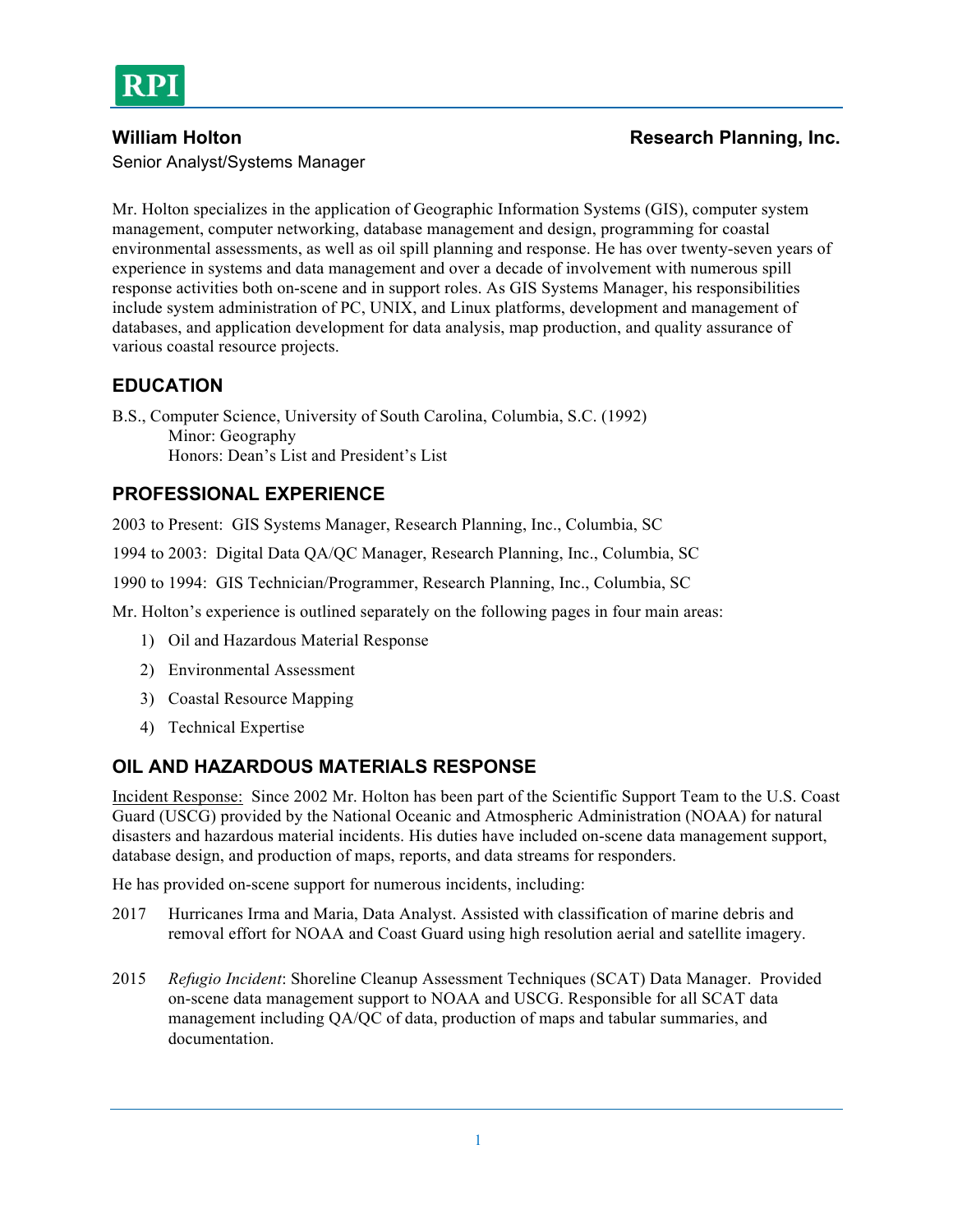

Senior Analyst/Systems Manager

### **William Holton Research Planning, Inc. Research Planning, Inc.**

Mr. Holton specializes in the application of Geographic Information Systems (GIS), computer system management, computer networking, database management and design, programming for coastal environmental assessments, as well as oil spill planning and response. He has over twenty-seven years of experience in systems and data management and over a decade of involvement with numerous spill response activities both on-scene and in support roles. As GIS Systems Manager, his responsibilities include system administration of PC, UNIX, and Linux platforms, development and management of databases, and application development for data analysis, map production, and quality assurance of various coastal resource projects.

# **EDUCATION**

B.S., Computer Science, University of South Carolina, Columbia, S.C. (1992) Minor: Geography Honors: Dean's List and President's List

# **PROFESSIONAL EXPERIENCE**

2003 to Present: GIS Systems Manager, Research Planning, Inc., Columbia, SC

1994 to 2003: Digital Data QA/QC Manager, Research Planning, Inc., Columbia, SC

1990 to 1994: GIS Technician/Programmer, Research Planning, Inc., Columbia, SC

Mr. Holton's experience is outlined separately on the following pages in four main areas:

- 1) Oil and Hazardous Material Response
- 2) Environmental Assessment
- 3) Coastal Resource Mapping
- 4) Technical Expertise

### **OIL AND HAZARDOUS MATERIALS RESPONSE**

Incident Response: Since 2002 Mr. Holton has been part of the Scientific Support Team to the U.S. Coast Guard (USCG) provided by the National Oceanic and Atmospheric Administration (NOAA) for natural disasters and hazardous material incidents. His duties have included on-scene data management support, database design, and production of maps, reports, and data streams for responders.

He has provided on-scene support for numerous incidents, including:

- 2017 Hurricanes Irma and Maria, Data Analyst. Assisted with classification of marine debris and removal effort for NOAA and Coast Guard using high resolution aerial and satellite imagery.
- 2015 *Refugio Incident*: Shoreline Cleanup Assessment Techniques (SCAT) Data Manager. Provided on-scene data management support to NOAA and USCG. Responsible for all SCAT data management including QA/QC of data, production of maps and tabular summaries, and documentation.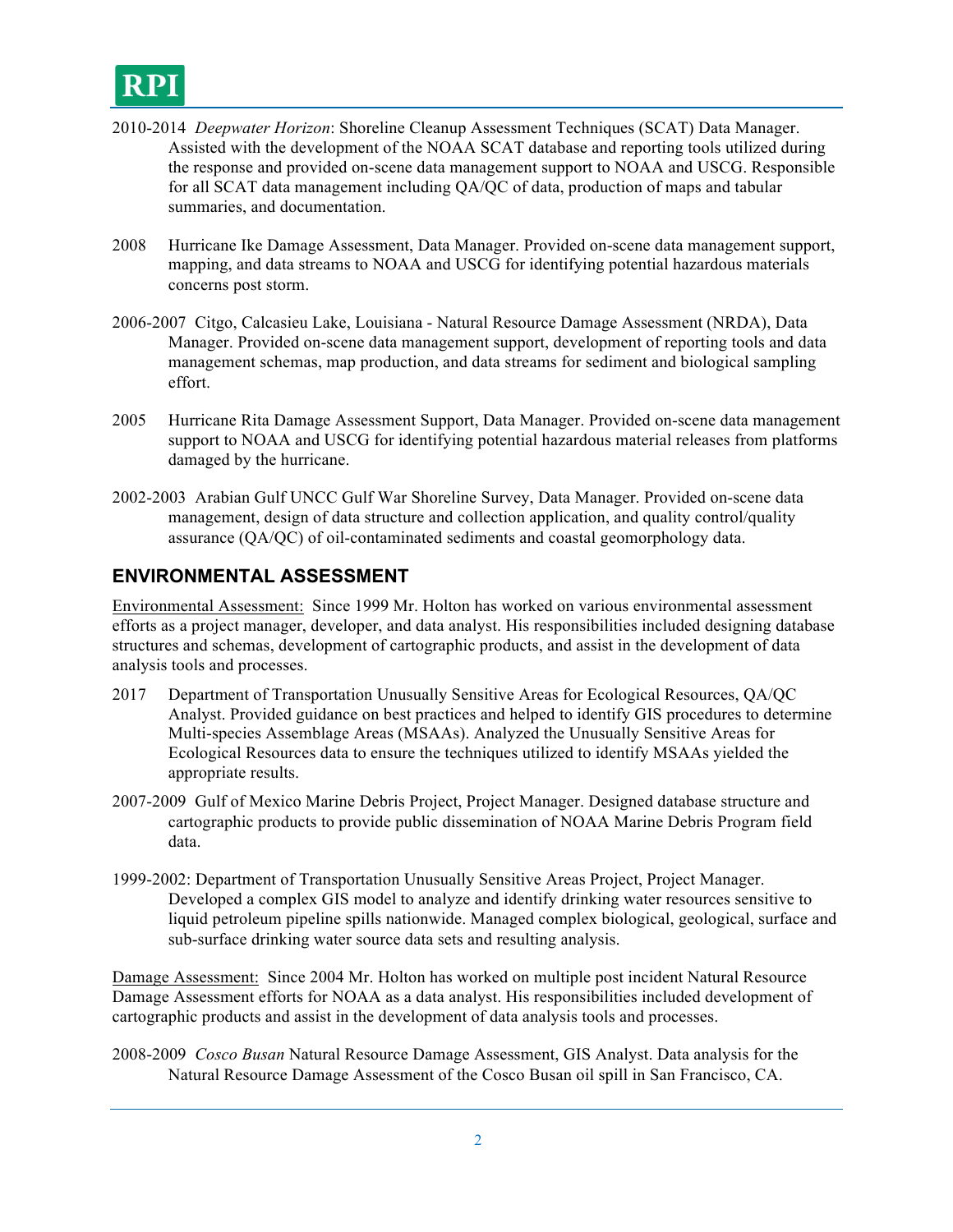

- 2010-2014 *Deepwater Horizon*: Shoreline Cleanup Assessment Techniques (SCAT) Data Manager. Assisted with the development of the NOAA SCAT database and reporting tools utilized during the response and provided on-scene data management support to NOAA and USCG. Responsible for all SCAT data management including QA/QC of data, production of maps and tabular summaries, and documentation.
- 2008 Hurricane Ike Damage Assessment, Data Manager. Provided on-scene data management support, mapping, and data streams to NOAA and USCG for identifying potential hazardous materials concerns post storm.
- 2006-2007 Citgo, Calcasieu Lake, Louisiana Natural Resource Damage Assessment (NRDA), Data Manager. Provided on-scene data management support, development of reporting tools and data management schemas, map production, and data streams for sediment and biological sampling effort.
- 2005 Hurricane Rita Damage Assessment Support, Data Manager. Provided on-scene data management support to NOAA and USCG for identifying potential hazardous material releases from platforms damaged by the hurricane.
- 2002-2003 Arabian Gulf UNCC Gulf War Shoreline Survey, Data Manager. Provided on-scene data management, design of data structure and collection application, and quality control/quality assurance (QA/QC) of oil-contaminated sediments and coastal geomorphology data.

### **ENVIRONMENTAL ASSESSMENT**

Environmental Assessment: Since 1999 Mr. Holton has worked on various environmental assessment efforts as a project manager, developer, and data analyst. His responsibilities included designing database structures and schemas, development of cartographic products, and assist in the development of data analysis tools and processes.

- 2017 Department of Transportation Unusually Sensitive Areas for Ecological Resources, QA/QC Analyst. Provided guidance on best practices and helped to identify GIS procedures to determine Multi-species Assemblage Areas (MSAAs). Analyzed the Unusually Sensitive Areas for Ecological Resources data to ensure the techniques utilized to identify MSAAs yielded the appropriate results.
- 2007-2009 Gulf of Mexico Marine Debris Project, Project Manager. Designed database structure and cartographic products to provide public dissemination of NOAA Marine Debris Program field data.
- 1999-2002: Department of Transportation Unusually Sensitive Areas Project, Project Manager. Developed a complex GIS model to analyze and identify drinking water resources sensitive to liquid petroleum pipeline spills nationwide. Managed complex biological, geological, surface and sub-surface drinking water source data sets and resulting analysis.

Damage Assessment: Since 2004 Mr. Holton has worked on multiple post incident Natural Resource Damage Assessment efforts for NOAA as a data analyst. His responsibilities included development of cartographic products and assist in the development of data analysis tools and processes.

2008-2009 *Cosco Busan* Natural Resource Damage Assessment, GIS Analyst. Data analysis for the Natural Resource Damage Assessment of the Cosco Busan oil spill in San Francisco, CA.